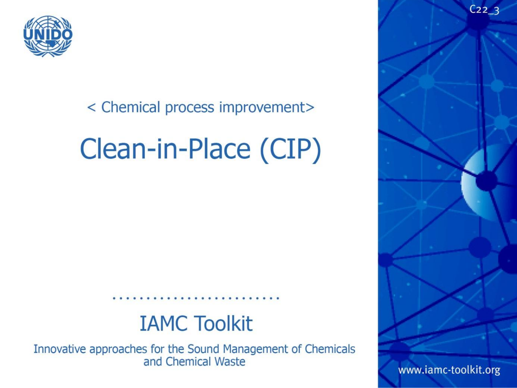

#### < Chemical process improvement>

# $\overline{C}$  $\sum_{i=1}^{\infty}$

### **IAMC Toolkit**

Innovative approaches for the Sound Management of Chemicals and Chemical Waste

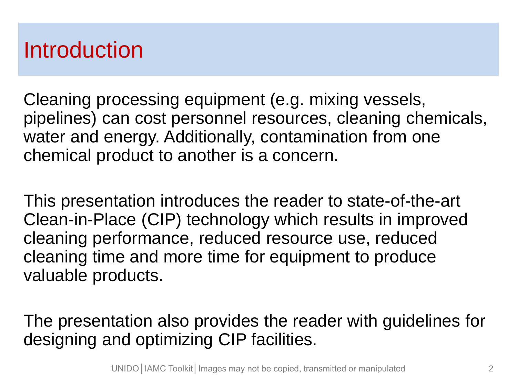### Introduction

Cleaning processing equipment (e.g. mixing vessels, pipelines) can cost personnel resources, cleaning chemicals, water and energy. Additionally, contamination from one chemical product to another is a concern.

This presentation introduces the reader to state-of-the-art Clean-in-Place (CIP) technology which results in improved cleaning performance, reduced resource use, reduced cleaning time and more time for equipment to produce valuable products.

The presentation also provides the reader with guidelines for designing and optimizing CIP facilities.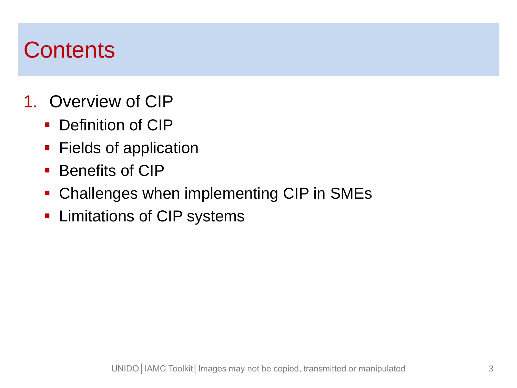### **Contents**

- 1. Overview of CIP
	- Definition of CIP
	- **Fields of application**
	- **Benefits of CIP**
	- Challenges when implementing CIP in SMEs
	- **Limitations of CIP systems**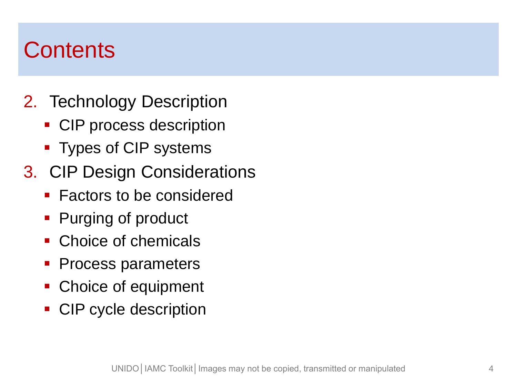### **Contents**

- 2. Technology Description
	- CIP process description
	- Types of CIP systems
- 3. CIP Design Considerations
	- **Factors to be considered**
	- Purging of product
	- Choice of chemicals
	- Process parameters
	- Choice of equipment
	- CIP cycle description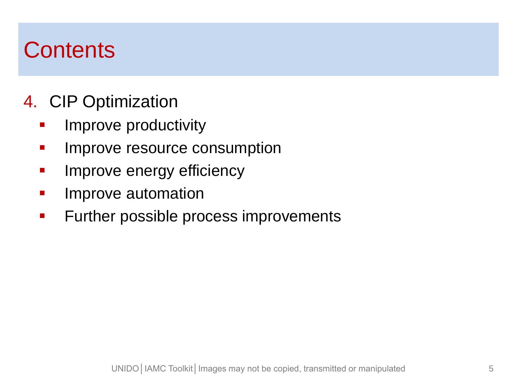### **Contents**

#### 4. CIP Optimization

- Improve productivity
- **Improve resource consumption**
- **IMPROVE energy efficiency**
- Improve automation
- **Further possible process improvements**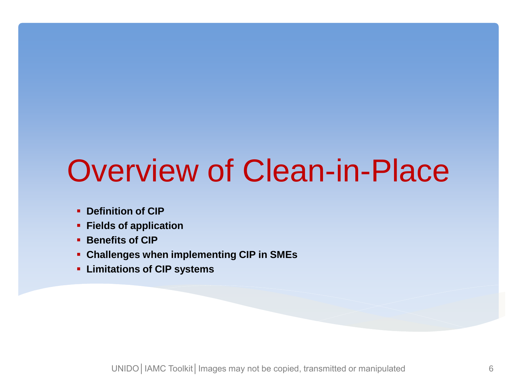# Overview of Clean-in-Place

- **Definition of CIP**
- **Fields of application**
- **Benefits of CIP**
- **Challenges when implementing CIP in SMEs**
- **Limitations of CIP systems**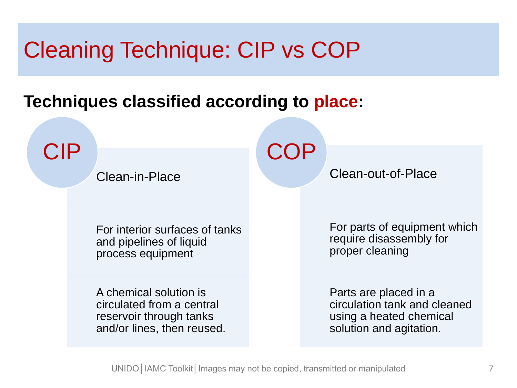### Cleaning Technique: CIP vs COP

#### **Techniques classified according to place:**

CIP

Clean-in-Place

**COP** 

Clean-out-of-Place

For interior surfaces of tanks and pipelines of liquid process equipment

A chemical solution is circulated from a central reservoir through tanks and/or lines, then reused. For parts of equipment which require disassembly for proper cleaning

Parts are placed in a circulation tank and cleaned using a heated chemical solution and agitation.

UNIDO | IAMC Toolkit | Images may not be copied, transmitted or manipulated 7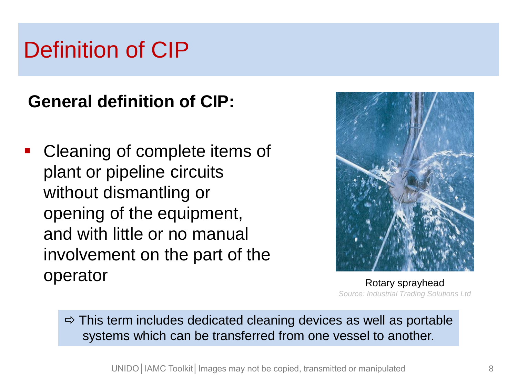### Definition of CIP

#### **General definition of CIP:**

• Cleaning of complete items of plant or pipeline circuits without dismantling or opening of the equipment, and with little or no manual involvement on the part of the operator



Rotary sprayhead *Source: Industrial Trading Solutions Ltd*

 $\Rightarrow$  This term includes dedicated cleaning devices as well as portable systems which can be transferred from one vessel to another.

UNIDO | IAMC Toolkit | Images may not be copied, transmitted or manipulated 8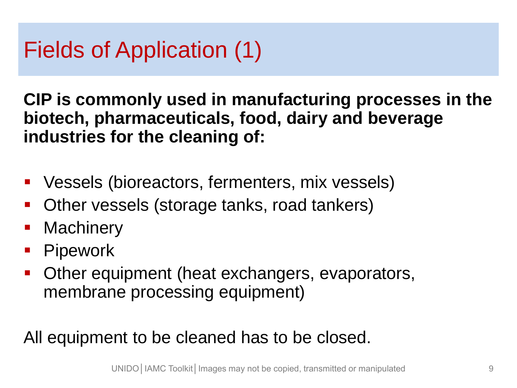### Fields of Application (1)

**CIP is commonly used in manufacturing processes in the biotech, pharmaceuticals, food, dairy and beverage industries for the cleaning of:**

- Vessels (bioreactors, fermenters, mix vessels)
- Other vessels (storage tanks, road tankers)
- **Machinery**
- **-** Pipework
- **Other equipment (heat exchangers, evaporators,** membrane processing equipment)

All equipment to be cleaned has to be closed.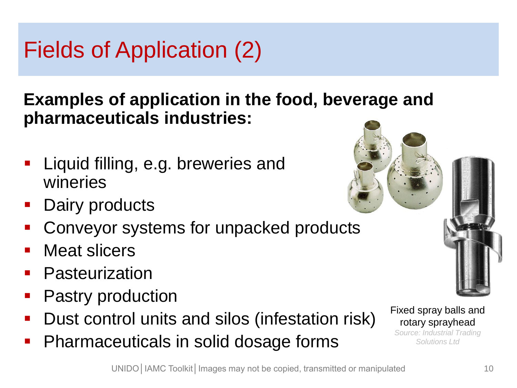### Fields of Application (2)

**Examples of application in the food, beverage and pharmaceuticals industries:**

- Liquid filling, e.g. breweries and wineries
- Dairy products
- Conveyor systems for unpacked products
- Meat slicers
- **Pasteurization**
- Pastry production
- **Dust control units and silos (infestation risk)**
- **Pharmaceuticals in solid dosage forms**



Fixed spray balls and rotary sprayhead *Source: Industrial Trading* 

*Solutions Ltd*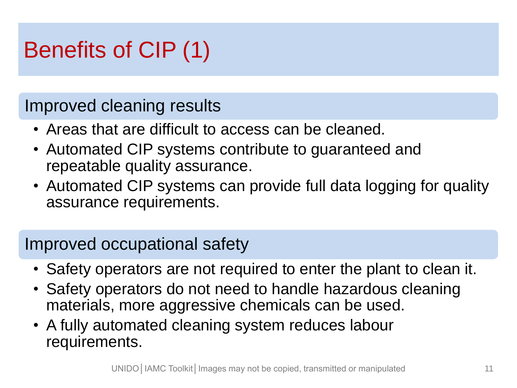### Benefits of CIP (1)

#### Improved cleaning results

- Areas that are difficult to access can be cleaned.
- Automated CIP systems contribute to guaranteed and repeatable quality assurance.
- Automated CIP systems can provide full data logging for quality assurance requirements.

#### Improved occupational safety

- Safety operators are not required to enter the plant to clean it.
- Safety operators do not need to handle hazardous cleaning materials, more aggressive chemicals can be used.
- A fully automated cleaning system reduces labour requirements.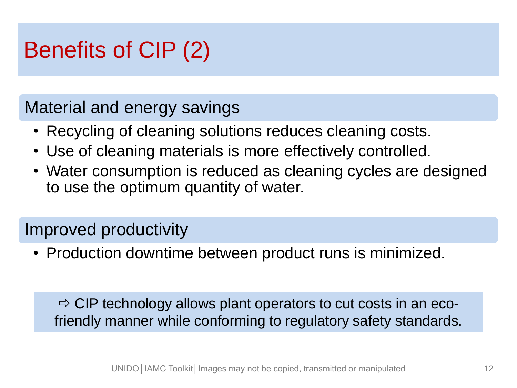### Benefits of CIP (2)

#### Material and energy savings

- Recycling of cleaning solutions reduces cleaning costs.
- Use of cleaning materials is more effectively controlled.
- Water consumption is reduced as cleaning cycles are designed to use the optimum quantity of water.

#### Improved productivity

• Production downtime between product runs is minimized.

 $\Rightarrow$  CIP technology allows plant operators to cut costs in an ecofriendly manner while conforming to regulatory safety standards.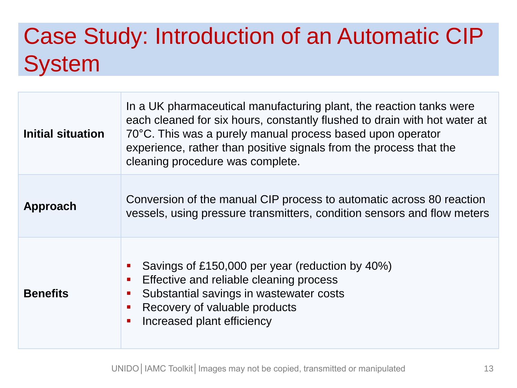### Case Study: Introduction of an Automatic CIP **System**

| Initial situation | In a UK pharmaceutical manufacturing plant, the reaction tanks were<br>each cleaned for six hours, constantly flushed to drain with hot water at<br>70°C. This was a purely manual process based upon operator<br>experience, rather than positive signals from the process that the<br>cleaning procedure was complete. |  |
|-------------------|--------------------------------------------------------------------------------------------------------------------------------------------------------------------------------------------------------------------------------------------------------------------------------------------------------------------------|--|
| Approach          | Conversion of the manual CIP process to automatic across 80 reaction<br>vessels, using pressure transmitters, condition sensors and flow meters                                                                                                                                                                          |  |
| <b>Benefits</b>   | Savings of £150,000 per year (reduction by 40%)<br>Effective and reliable cleaning process<br>Substantial savings in wastewater costs<br>$\blacksquare$<br>Recovery of valuable products<br>Increased plant efficiency                                                                                                   |  |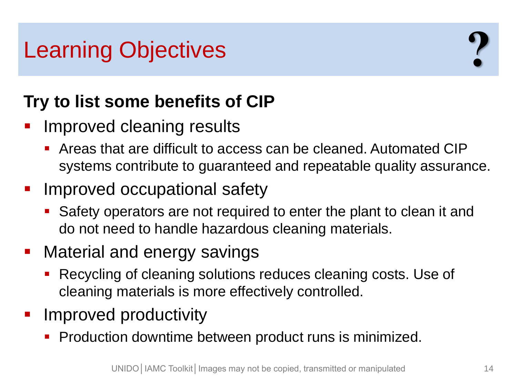### Learning Objectives

#### **Try to list some benefits of CIP**

- Improved cleaning results
	- Areas that are difficult to access can be cleaned. Automated CIP systems contribute to guaranteed and repeatable quality assurance.
- **IMPROVED OCCUPATIONAL SAFETY** 
	- Safety operators are not required to enter the plant to clean it and do not need to handle hazardous cleaning materials.
- **Material and energy savings** 
	- Recycling of cleaning solutions reduces cleaning costs. Use of cleaning materials is more effectively controlled.
- Improved productivity
	- **Production downtime between product runs is minimized.**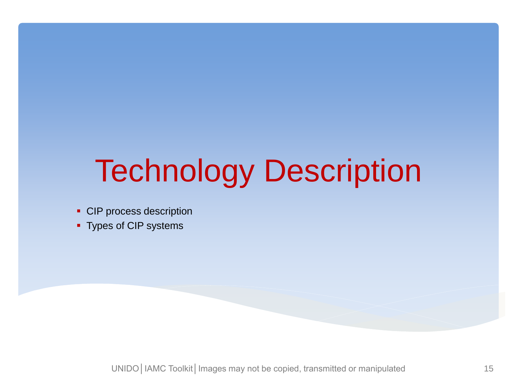# Technology Description

- CIP process description
- **Types of CIP systems**

UNIDO | IAMC Toolkit | Images may not be copied, transmitted or manipulated 15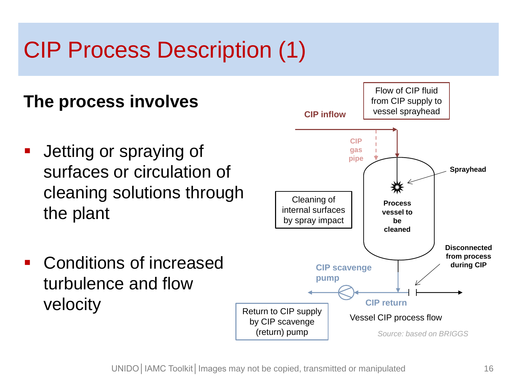### CIP Process Description (1)

#### **The process involves**

- **-** Jetting or spraying of surfaces or circulation of cleaning solutions through the plant
- **Conditions of increased** turbulence and flow velocity

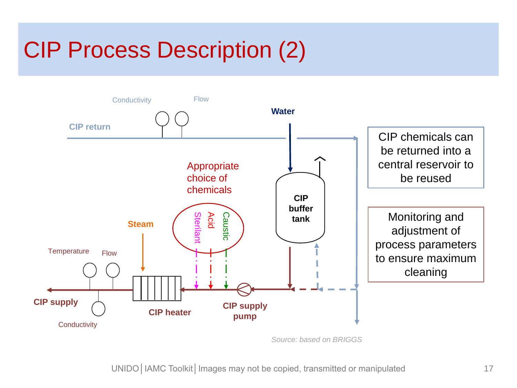### CIP Process Description (2)



*Source: based on BRIGGS*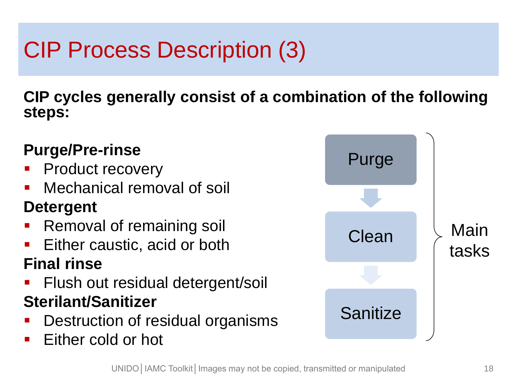## CIP Process Description (3)

**CIP cycles generally consist of a combination of the following steps:**

#### **Purge/Pre-rinse**

- **Product recovery**
- Mechanical removal of soil

#### **Detergent**

- Removal of remaining soil
- Either caustic, acid or both

#### **Final rinse**

- **Filush out residual detergent/soil Sterilant/Sanitizer**
- Destruction of residual organisms
- Either cold or hot

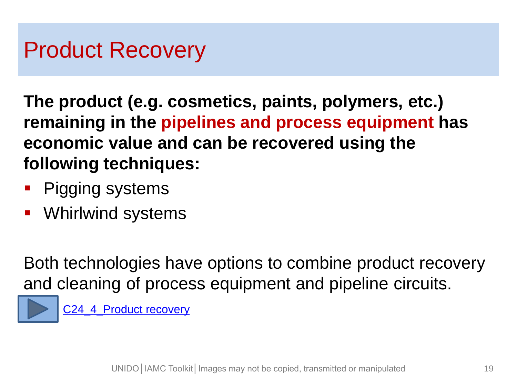### Product Recovery

**The product (e.g. cosmetics, paints, polymers, etc.) remaining in the pipelines and process equipment has economic value and can be recovered using the following techniques:** 

- Pigging systems
- Whirlwind systems

Both technologies have options to combine product recovery and cleaning of process equipment and pipeline circuits.



[C24\\_4\\_Product recovery](http://iamc-toolkit.org/technical-resources/green-chemistry-and-chemical-process-improvement/chemical-process-improvement/cleaning/product-recovery)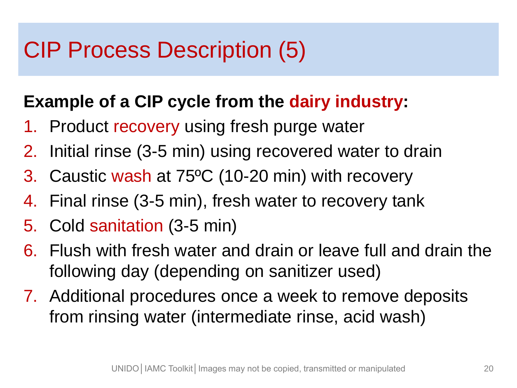### CIP Process Description (5)

#### **Example of a CIP cycle from the dairy industry:**

- 1. Product recovery using fresh purge water
- 2. Initial rinse (3-5 min) using recovered water to drain
- 3. Caustic wash at 75ºC (10-20 min) with recovery
- 4. Final rinse (3-5 min), fresh water to recovery tank
- 5. Cold sanitation (3-5 min)
- 6. Flush with fresh water and drain or leave full and drain the following day (depending on sanitizer used)
- 7. Additional procedures once a week to remove deposits from rinsing water (intermediate rinse, acid wash)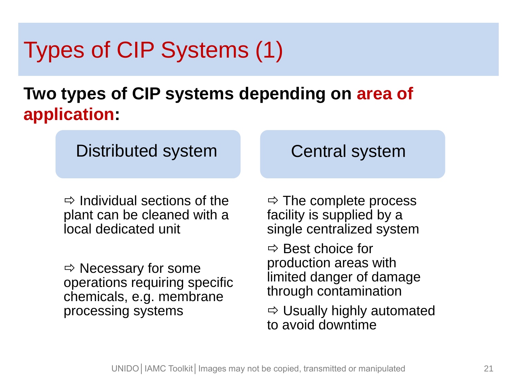### Types of CIP Systems (1)

#### **Two types of CIP systems depending on area of application:**

Distributed system **Central system** 

 $\Rightarrow$  Individual sections of the plant can be cleaned with a local dedicated unit

 $\Rightarrow$  Necessary for some operations requiring specific chemicals, e.g. membrane processing systems

 $\Rightarrow$  The complete process facility is supplied by a single centralized system

 $\Rightarrow$  Best choice for production areas with limited danger of damage through contamination

 $\Rightarrow$  Usually highly automated to avoid downtime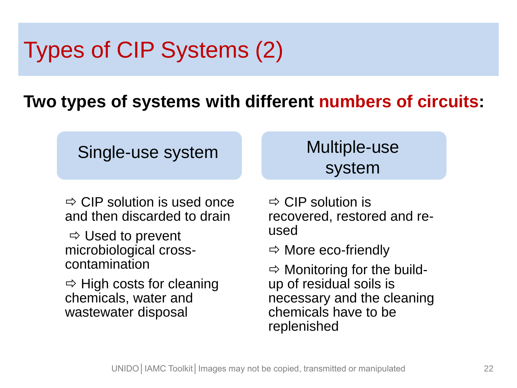### Types of CIP Systems (2)

#### **Two types of systems with different numbers of circuits:**

|  |  | Single-use system |  |
|--|--|-------------------|--|
|--|--|-------------------|--|

#### Multiple-use system

 $\Rightarrow$  CIP solution is used once and then discarded to drain

 $\Rightarrow$  Used to prevent microbiological crosscontamination

 $\Rightarrow$  High costs for cleaning chemicals, water and wastewater disposal

 $\Rightarrow$  CIP solution is recovered, restored and reused

 $\Rightarrow$  More eco-friendly

 $\Rightarrow$  Monitoring for the buildup of residual soils is necessary and the cleaning chemicals have to be replenished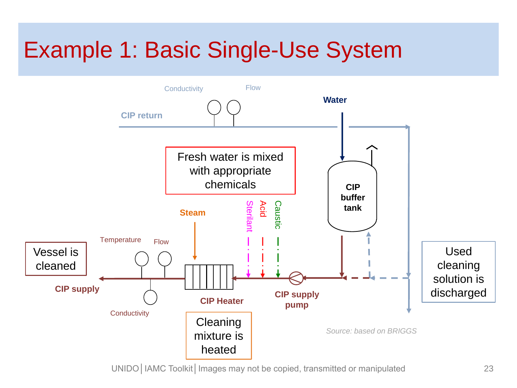### Example 1: Basic Single-Use System



UNIDO | IAMC Toolkit | Images may not be copied, transmitted or manipulated 23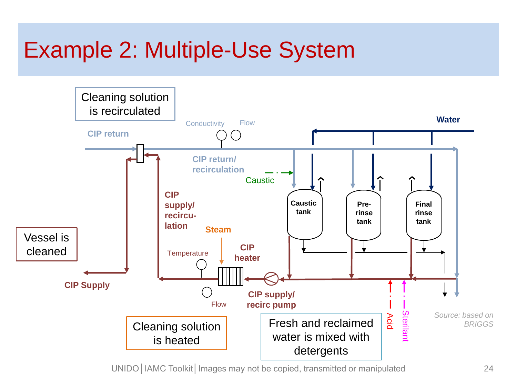### Example 2: Multiple-Use System



UNIDO | IAMC Toolkit | Images may not be copied, transmitted or manipulated 24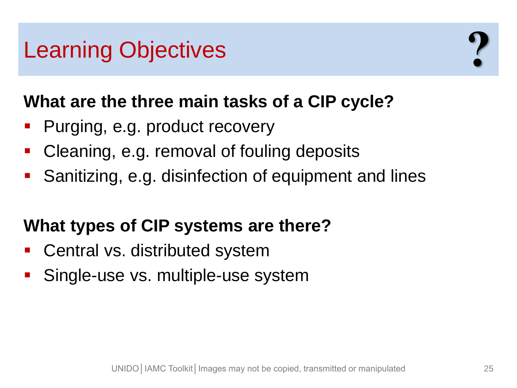### Learning Objectives

#### **What are the three main tasks of a CIP cycle?**

- Purging, e.g. product recovery
- Cleaning, e.g. removal of fouling deposits
- Sanitizing, e.g. disinfection of equipment and lines

#### **What types of CIP systems are there?**

- **Central vs. distributed system**
- Single-use vs. multiple-use system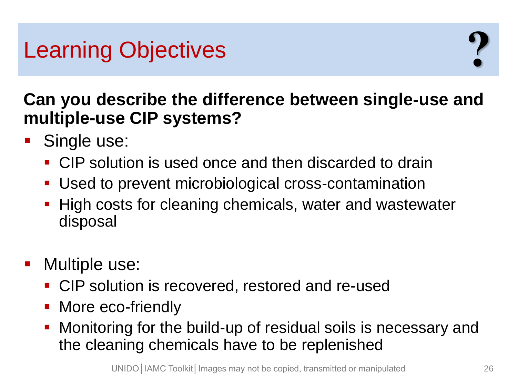### Learning Objectives

**Can you describe the difference between single-use and multiple-use CIP systems?**

- **Single use:** 
	- CIP solution is used once and then discarded to drain
	- Used to prevent microbiological cross-contamination
	- **High costs for cleaning chemicals, water and wastewater** disposal
- **Nultiple use:** 
	- **CIP** solution is recovered, restored and re-used
	- More eco-friendly
	- Monitoring for the build-up of residual soils is necessary and the cleaning chemicals have to be replenished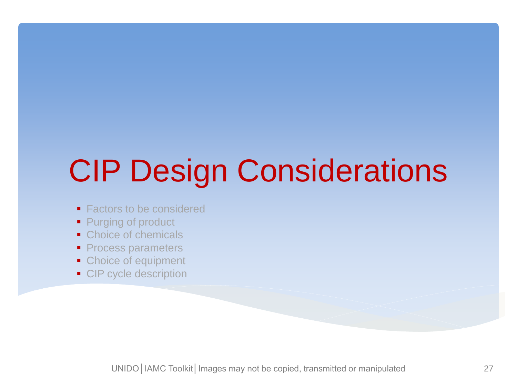# CIP Design Considerations

- Factors to be considered
- Purging of product
- Choice of chemicals
- Process parameters
- Choice of equipment
- CIP cycle description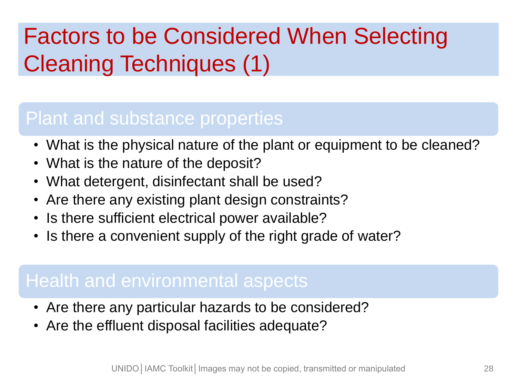### Factors to be Considered When Selecting Cleaning Techniques (1)

#### Plant and substance properties

- What is the physical nature of the plant or equipment to be cleaned?
- What is the nature of the deposit?
- What detergent, disinfectant shall be used?
- Are there any existing plant design constraints?
- Is there sufficient electrical power available?
- Is there a convenient supply of the right grade of water?

#### Health and environmental aspects

- Are there any particular hazards to be considered?
- Are the effluent disposal facilities adequate?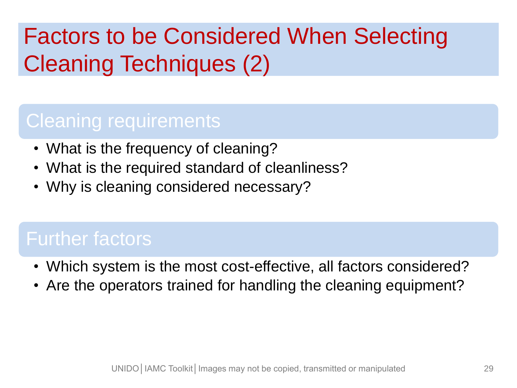### Factors to be Considered When Selecting Cleaning Techniques (2)

#### Cleaning requirements

- What is the frequency of cleaning?
- What is the required standard of cleanliness?
- Why is cleaning considered necessary?

#### Further factors

- Which system is the most cost-effective, all factors considered?
- Are the operators trained for handling the cleaning equipment?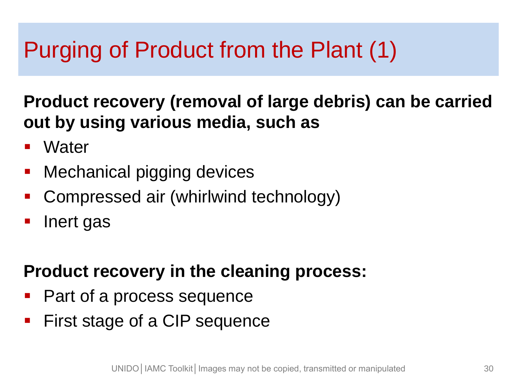### Purging of Product from the Plant (1)

**Product recovery (removal of large debris) can be carried out by using various media, such as**

- **Water**
- Mechanical pigging devices
- Compressed air (whirlwind technology)
- **I** lnert gas

#### **Product recovery in the cleaning process:**

- Part of a process sequence
- **First stage of a CIP sequence**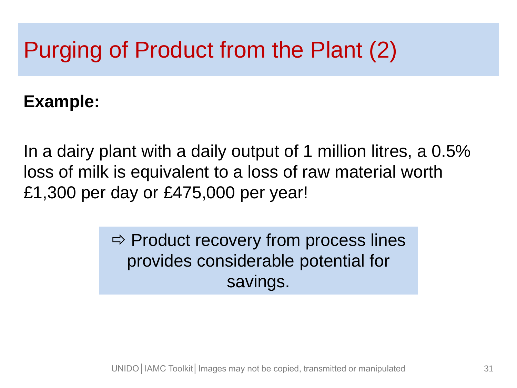### Purging of Product from the Plant (2)

#### **Example:**

In a dairy plant with a daily output of 1 million litres, a 0.5% loss of milk is equivalent to a loss of raw material worth £1,300 per day or £475,000 per year!

> $\Rightarrow$  Product recovery from process lines provides considerable potential for savings.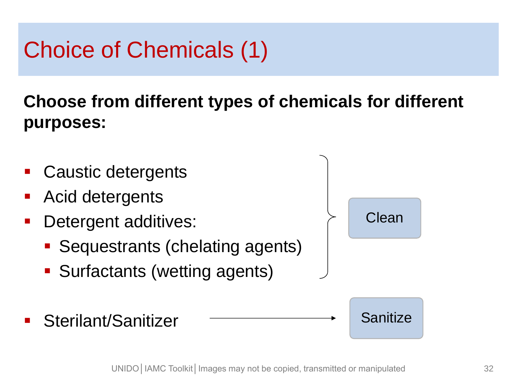### Choice of Chemicals (1)

#### **Choose from different types of chemicals for different purposes:**

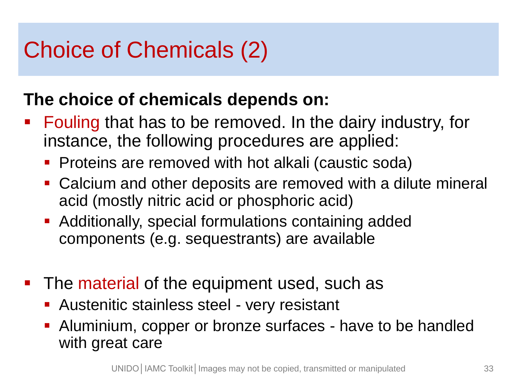### Choice of Chemicals (2)

#### **The choice of chemicals depends on:**

- **Fouling that has to be removed. In the dairy industry, for** instance, the following procedures are applied:
	- **Proteins are removed with hot alkali (caustic soda)**
	- Calcium and other deposits are removed with a dilute mineral acid (mostly nitric acid or phosphoric acid)
	- **Additionally, special formulations containing added** components (e.g. sequestrants) are available
- **The material of the equipment used, such as** 
	- **Austenitic stainless steel very resistant**
	- Aluminium, copper or bronze surfaces have to be handled with great care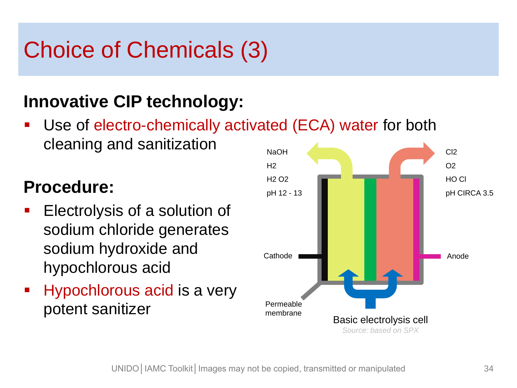### Choice of Chemicals (3)

#### **Innovative CIP technology:**

 Use of electro-chemically activated (ECA) water for both cleaning and sanitization

#### **Procedure:**

- **Electrolysis of a solution of** sodium chloride generates sodium hydroxide and hypochlorous acid
- **Hypochlorous acid is a very** potent sanitizer

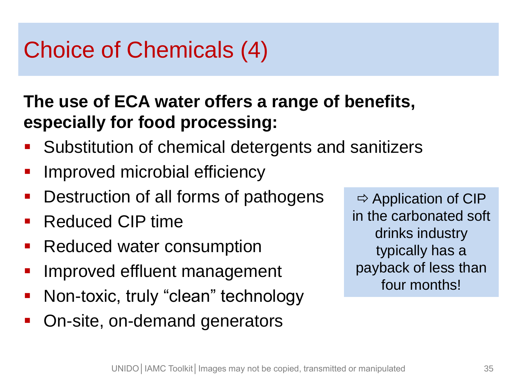### Choice of Chemicals (4)

#### **The use of ECA water offers a range of benefits, especially for food processing:**

- Substitution of chemical detergents and sanitizers
- Improved microbial efficiency
- **Destruction of all forms of pathogens**
- Reduced CIP time
- **Reduced water consumption**
- Improved effluent management
- Non-toxic, truly "clean" technology
- On-site, on-demand generators

 $\Rightarrow$  Application of CIP in the carbonated soft drinks industry typically has a payback of less than four months!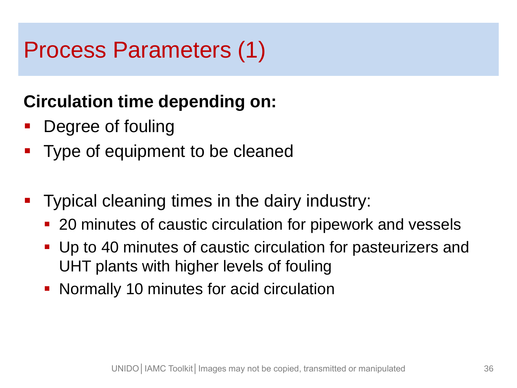### Process Parameters (1)

#### **Circulation time depending on:**

- Degree of fouling
- Type of equipment to be cleaned
- Typical cleaning times in the dairy industry:
	- 20 minutes of caustic circulation for pipework and vessels
	- Up to 40 minutes of caustic circulation for pasteurizers and UHT plants with higher levels of fouling
	- **Normally 10 minutes for acid circulation**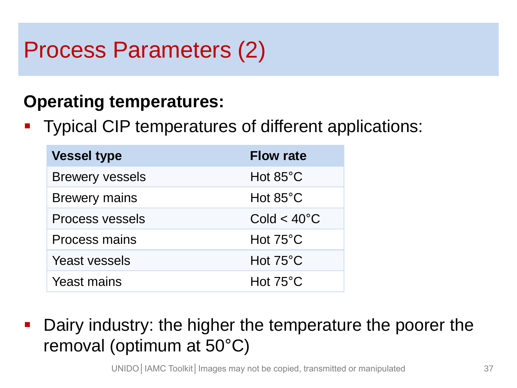### Process Parameters (2)

#### **Operating temperatures:**

Typical CIP temperatures of different applications:

| <b>Vessel type</b>     | <b>Flow rate</b>     |
|------------------------|----------------------|
| <b>Brewery vessels</b> | Hot $85^{\circ}$ C   |
| <b>Brewery mains</b>   | Hot $85^{\circ}$ C   |
| <b>Process vessels</b> | $Cold < 40^{\circ}C$ |
| <b>Process mains</b>   | Hot $75^{\circ}$ C   |
| <b>Yeast vessels</b>   | Hot $75^{\circ}$ C   |
| <b>Yeast mains</b>     | Hot $75^{\circ}$ C   |

**Dairy industry: the higher the temperature the poorer the** removal (optimum at 50°C)

UNIDO | IAMC Toolkit | Images may not be copied, transmitted or manipulated 37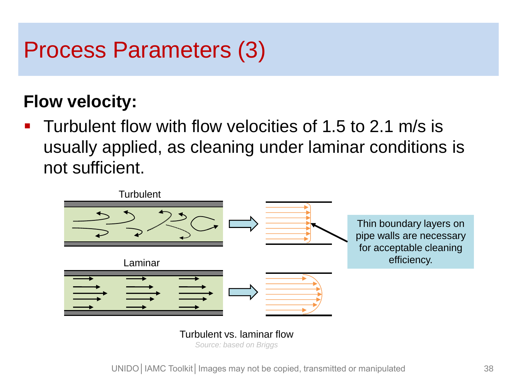### Process Parameters (3)

#### **Flow velocity:**

**Turbulent flow with flow velocities of 1.5 to 2.1 m/s is** usually applied, as cleaning under laminar conditions is not sufficient.



Turbulent vs. laminar flow *Source: based on Briggs*

UNIDO | IAMC Toolkit | Images may not be copied, transmitted or manipulated 38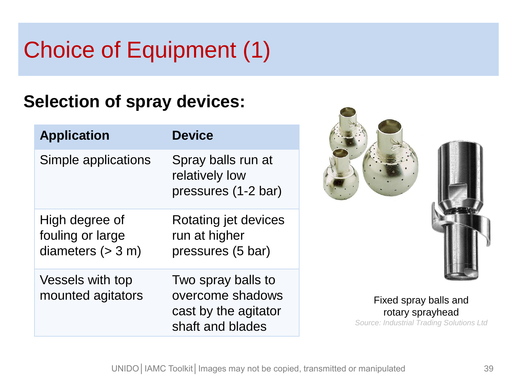## Choice of Equipment (1)

#### **Selection of spray devices:**

| <b>Application</b>                                        | <b>Device</b>                                                                      |
|-----------------------------------------------------------|------------------------------------------------------------------------------------|
| Simple applications                                       | Spray balls run at<br>relatively low<br>pressures (1-2 bar)                        |
| High degree of<br>fouling or large<br>diameters $(> 3 m)$ | Rotating jet devices<br>run at higher<br>pressures (5 bar)                         |
| Vessels with top<br>mounted agitators                     | Two spray balls to<br>overcome shadows<br>cast by the agitator<br>shaft and blades |



Fixed spray balls and rotary sprayhead *Source: Industrial Trading Solutions Ltd*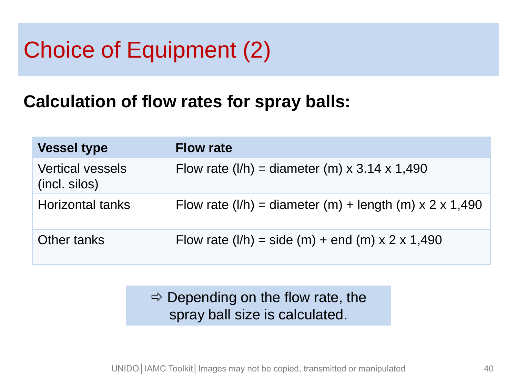### Choice of Equipment (2)

#### **Calculation of flow rates for spray balls:**

| <b>Vessel type</b>                       | <b>Flow rate</b>                                              |
|------------------------------------------|---------------------------------------------------------------|
| <b>Vertical vessels</b><br>(incl. silos) | Flow rate $(I/h)$ = diameter $(m) \times 3.14 \times 1,490$   |
| <b>Horizontal tanks</b>                  | Flow rate $(I/h)$ = diameter $(m)$ + length $(m)$ x 2 x 1,490 |
| Other tanks                              | Flow rate $(l/h)$ = side $(m)$ + end $(m)$ x 2 x 1,490        |

#### $\Rightarrow$  Depending on the flow rate, the spray ball size is calculated.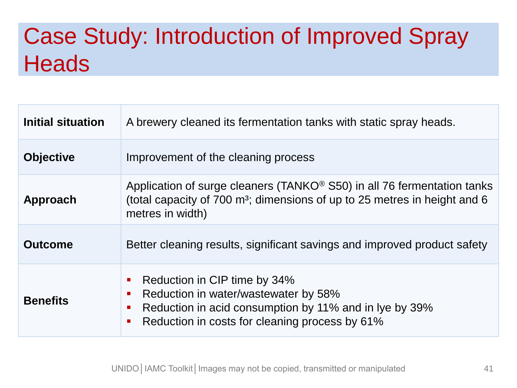### Case Study: Introduction of Improved Spray **Heads**

| Initial situation | A brewery cleaned its fermentation tanks with static spray heads.                                                                                                                                               |  |
|-------------------|-----------------------------------------------------------------------------------------------------------------------------------------------------------------------------------------------------------------|--|
| <b>Objective</b>  | Improvement of the cleaning process                                                                                                                                                                             |  |
| Approach          | Application of surge cleaners (TANKO <sup>®</sup> S50) in all 76 fermentation tanks<br>(total capacity of 700 m <sup>3</sup> ; dimensions of up to 25 metres in height and 6<br>metres in width)                |  |
| <b>Outcome</b>    | Better cleaning results, significant savings and improved product safety                                                                                                                                        |  |
| <b>Benefits</b>   | Reduction in CIP time by 34%<br>Reduction in water/wastewater by 58%<br>Reduction in acid consumption by 11% and in Iye by 39%<br>Reduction in costs for cleaning process by 61%<br>$\mathcal{L}_{\mathcal{A}}$ |  |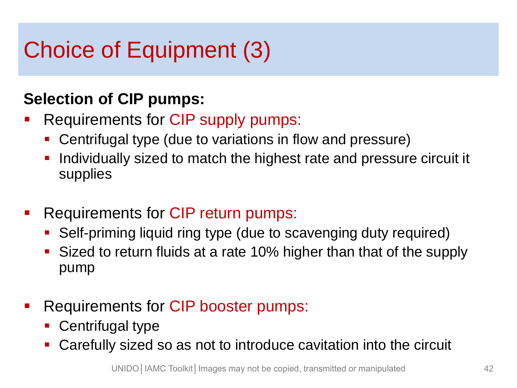### Choice of Equipment (3)

#### **Selection of CIP pumps:**

- Requirements for CIP supply pumps:
	- Centrifugal type (due to variations in flow and pressure)
	- Individually sized to match the highest rate and pressure circuit it supplies
- Requirements for CIP return pumps:
	- Self-priming liquid ring type (due to scavenging duty required)
	- Sized to return fluids at a rate 10% higher than that of the supply pump
- Requirements for CIP booster pumps:
	- Centrifugal type
	- Carefully sized so as not to introduce cavitation into the circuit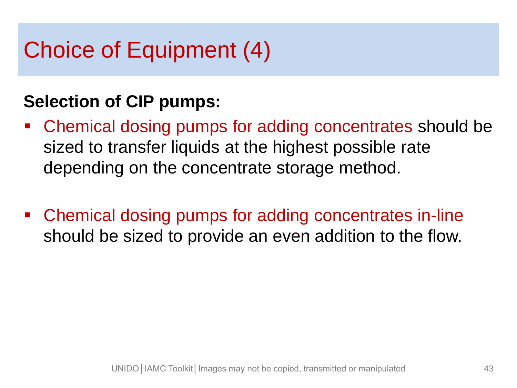### Choice of Equipment (4)

#### **Selection of CIP pumps:**

- Chemical dosing pumps for adding concentrates should be sized to transfer liquids at the highest possible rate depending on the concentrate storage method.
- Chemical dosing pumps for adding concentrates in-line should be sized to provide an even addition to the flow.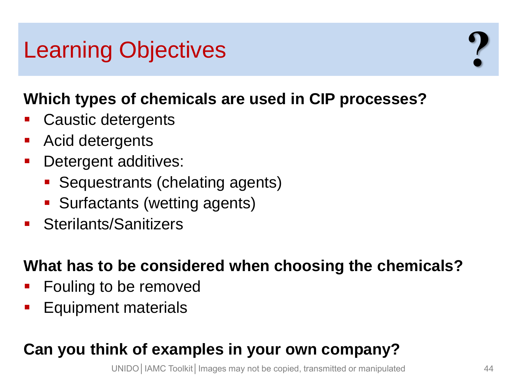### Learning Objectives

#### **Which types of chemicals are used in CIP processes?**

- Caustic detergents
- Acid detergents
- Detergent additives:
	- **Sequestrants (chelating agents)**
	- **Surfactants (wetting agents)**
- Sterilants/Sanitizers

#### **What has to be considered when choosing the chemicals?**

- Fouling to be removed
- Equipment materials

#### **Can you think of examples in your own company?**

UNIDO | IAMC Toolkit | Images may not be copied, transmitted or manipulated 44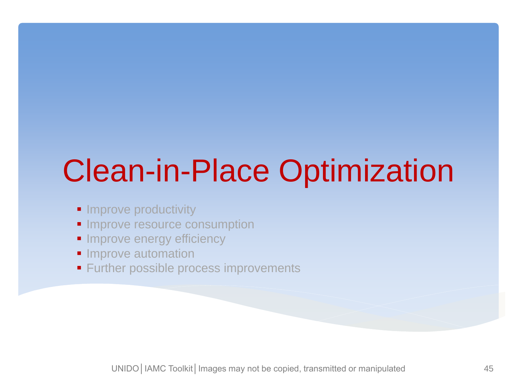# Clean-in-Place Optimization

- **Improve productivity**
- **Improve resource consumption**
- **Improve energy efficiency**
- **Improve automation**
- **Further possible process improvements**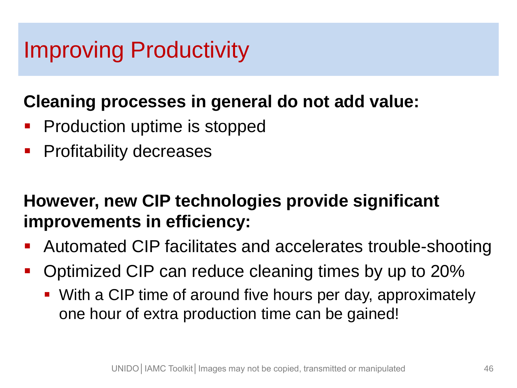### Improving Productivity

#### **Cleaning processes in general do not add value:**

- Production uptime is stopped
- **Profitability decreases**

#### **However, new CIP technologies provide significant improvements in efficiency:**

- **Automated CIP facilitates and accelerates trouble-shooting**
- Optimized CIP can reduce cleaning times by up to 20%
	- With a CIP time of around five hours per day, approximately one hour of extra production time can be gained!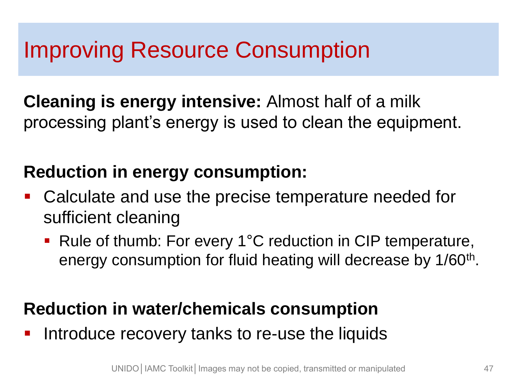### Improving Resource Consumption

**Cleaning is energy intensive:** Almost half of a milk processing plant's energy is used to clean the equipment.

#### **Reduction in energy consumption:**

- Calculate and use the precise temperature needed for sufficient cleaning
	- Rule of thumb: For every 1°C reduction in CIP temperature, energy consumption for fluid heating will decrease by 1/60<sup>th</sup>.

#### **Reduction in water/chemicals consumption**

**Introduce recovery tanks to re-use the liquids**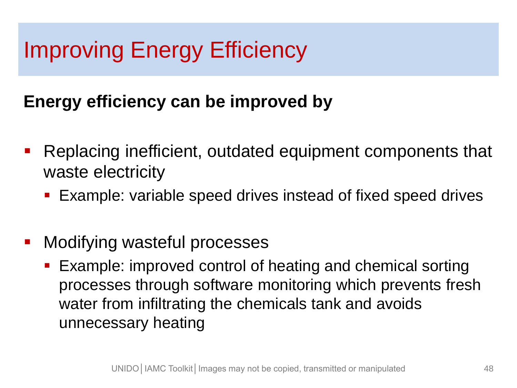### Improving Energy Efficiency

#### **Energy efficiency can be improved by**

- **Replacing inefficient, outdated equipment components that** waste electricity
	- Example: variable speed drives instead of fixed speed drives
- **Modifying wasteful processes** 
	- Example: improved control of heating and chemical sorting processes through software monitoring which prevents fresh water from infiltrating the chemicals tank and avoids unnecessary heating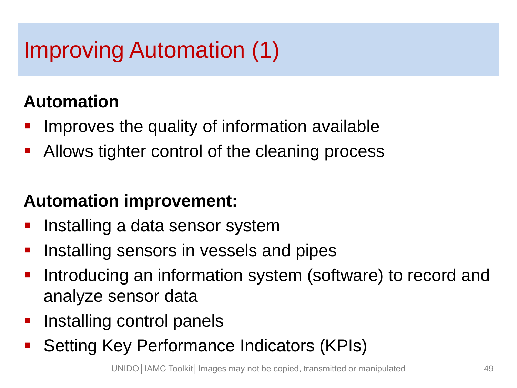### Improving Automation (1)

#### **Automation**

- Improves the quality of information available
- **Allows tighter control of the cleaning process**

#### **Automation improvement:**

- **Installing a data sensor system**
- **Installing sensors in vessels and pipes**
- **Introducing an information system (software) to record and** analyze sensor data
- **Installing control panels**
- **Setting Key Performance Indicators (KPIs)**

UNIDO | IAMC Toolkit | Images may not be copied, transmitted or manipulated 49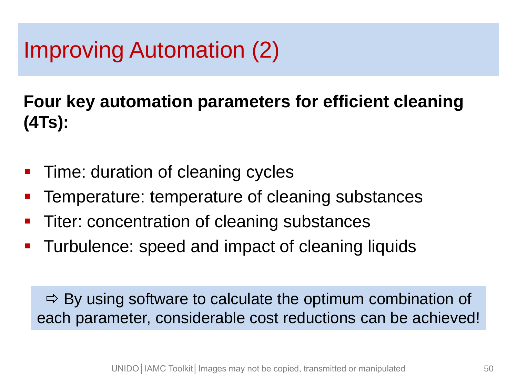### Improving Automation (2)

**Four key automation parameters for efficient cleaning (4Ts):**

- **Time: duration of cleaning cycles**
- Temperature: temperature of cleaning substances
- **Titer: concentration of cleaning substances**
- **Turbulence: speed and impact of cleaning liquids**

 $\Rightarrow$  By using software to calculate the optimum combination of each parameter, considerable cost reductions can be achieved!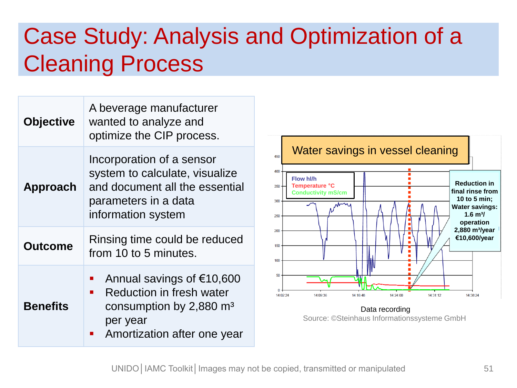### Case Study: Analysis and Optimization of a Cleaning Process

| <b>Objective</b> | A beverage manufacturer<br>wanted to analyze and<br>optimize the CIP process.                                                                                    |  |
|------------------|------------------------------------------------------------------------------------------------------------------------------------------------------------------|--|
| <b>Approach</b>  | Incorporation of a sensor<br>system to calculate, visualize<br>and document all the essential<br>parameters in a data<br>information system                      |  |
| <b>Outcome</b>   | Rinsing time could be reduced<br>from 10 to 5 minutes.                                                                                                           |  |
| <b>Benefits</b>  | Annual savings of €10,600<br><b>Reduction in fresh water</b><br>$\mathbf{r}$<br>consumption by $2,880$ m <sup>3</sup><br>per year<br>Amortization after one year |  |



Data recording Source: ©Steinhaus Informationssysteme GmbH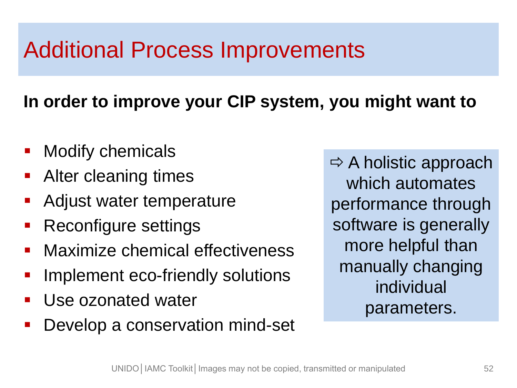### Additional Process Improvements

#### **In order to improve your CIP system, you might want to**

- Modify chemicals
- **Alter cleaning times**
- Adjust water temperature
- **Reconfigure settings**
- **Naximize chemical effectiveness**
- Implement eco-friendly solutions
- **Use ozonated water**
- **Develop a conservation mind-set**

 $\Rightarrow$  A holistic approach which automates performance through software is generally more helpful than manually changing individual parameters.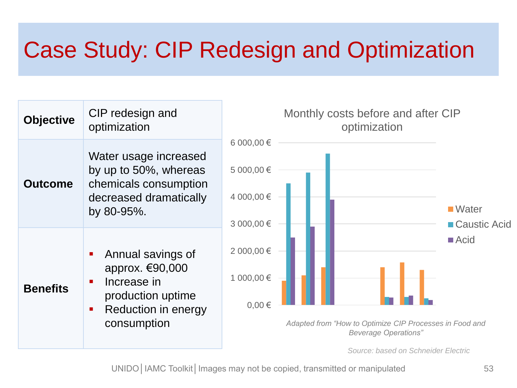### Case Study: CIP Redesign and Optimization

| <b>Objective</b> | CIP redesign and<br>optimization                                                                                | Monthly costs before and after CIP<br>optimization                                                                                                      |
|------------------|-----------------------------------------------------------------------------------------------------------------|---------------------------------------------------------------------------------------------------------------------------------------------------------|
| <b>Outcome</b>   | Water usage increased<br>by up to 50%, whereas<br>chemicals consumption<br>decreased dramatically<br>by 80-95%. | 6 000,00 €<br>5 000,00 €<br>4 000,00 €<br>■ Water<br>3 000,00 €<br>■ Caustic Acid                                                                       |
| <b>Benefits</b>  | Annual savings of<br>approx. €90,000<br>Increase in<br>production uptime<br>Reduction in energy<br>consumption  | $\blacksquare$ Acid<br>2 000,00 €<br>1 000,00 €<br>$0,00 \in$<br>Adapted from "How to Optimize CIP Processes in Food and<br><b>Beverage Operations"</b> |

*Source: based on Schneider Electric*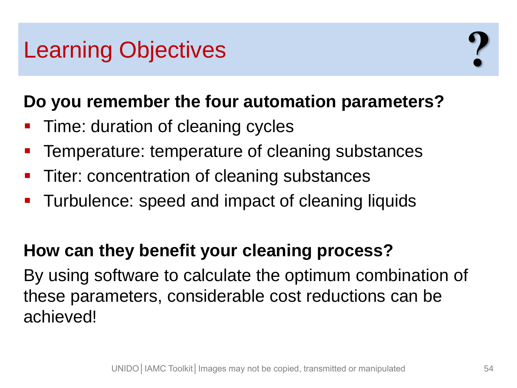### Learning Objectives

#### **Do you remember the four automation parameters?**

- Time: duration of cleaning cycles
- **Temperature: temperature of cleaning substances**
- Titer: concentration of cleaning substances
- **Turbulence: speed and impact of cleaning liquids**

#### **How can they benefit your cleaning process?**

By using software to calculate the optimum combination of these parameters, considerable cost reductions can be achieved!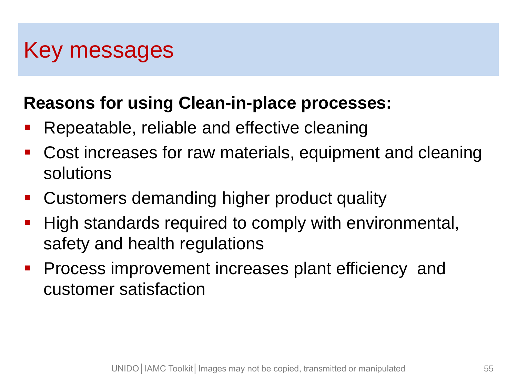### Key messages

#### **Reasons for using Clean-in-place processes:**

- **Repeatable, reliable and effective cleaning**
- Cost increases for raw materials, equipment and cleaning solutions
- **EXECUSTOMER CUSTOMERS demanding higher product quality**
- High standards required to comply with environmental, safety and health regulations
- **Process improvement increases plant efficiency and** customer satisfaction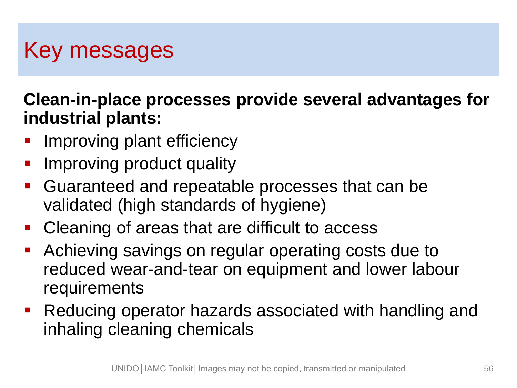### Key messages

**Clean-in-place processes provide several advantages for industrial plants:**

- Improving plant efficiency
- **IMPROVING product quality**
- Guaranteed and repeatable processes that can be validated (high standards of hygiene)
- **Cleaning of areas that are difficult to access**
- Achieving savings on regular operating costs due to reduced wear-and-tear on equipment and lower labour requirements
- Reducing operator hazards associated with handling and inhaling cleaning chemicals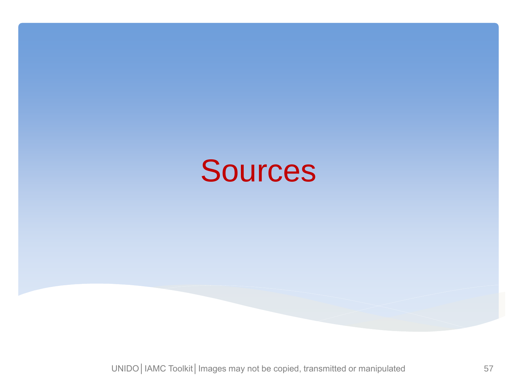

UNIDO | IAMC Toolkit | Images may not be copied, transmitted or manipulated 57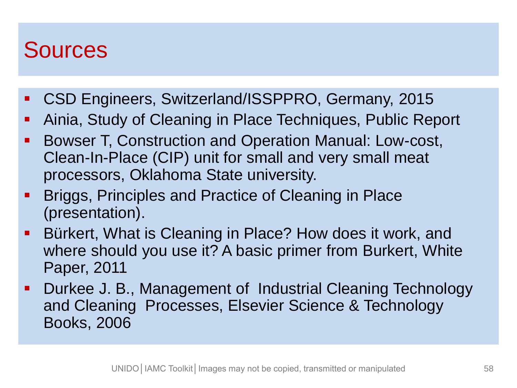#### Sources

- CSD Engineers, Switzerland/ISSPPRO, Germany, 2015
- Ainia, Study of Cleaning in Place Techniques, Public Report
- Bowser T, Construction and Operation Manual: Low-cost, Clean-In-Place (CIP) unit for small and very small meat processors, Oklahoma State university.
- **Briggs, Principles and Practice of Cleaning in Place** (presentation).
- Bürkert, What is Cleaning in Place? How does it work, and where should you use it? A basic primer from Burkert, White Paper, 2011
- Durkee J. B., Management of Industrial Cleaning Technology and Cleaning Processes, Elsevier Science & Technology Books, 2006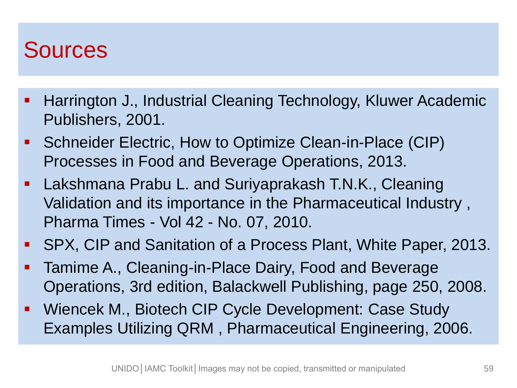### Sources

- **Harrington J., Industrial Cleaning Technology, Kluwer Academic** Publishers, 2001.
- Schneider Electric, How to Optimize Clean-in-Place (CIP) Processes in Food and Beverage Operations, 2013.
- Lakshmana Prabu L. and Suriyaprakash T.N.K., Cleaning Validation and its importance in the Pharmaceutical Industry , Pharma Times - Vol 42 - No. 07, 2010.
- SPX, CIP and Sanitation of a Process Plant, White Paper, 2013.
- Tamime A., Cleaning-in-Place Dairy, Food and Beverage Operations, 3rd edition, Balackwell Publishing, page 250, 2008.
- Wiencek M., Biotech CIP Cycle Development: Case Study Examples Utilizing QRM , Pharmaceutical Engineering, 2006.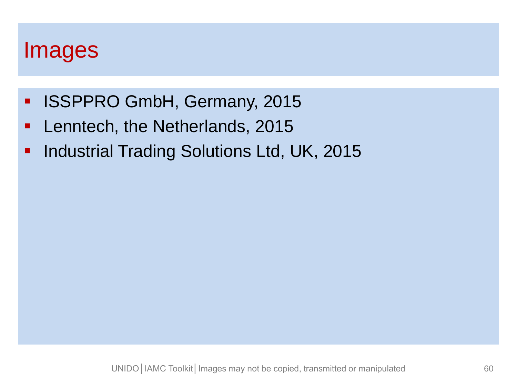#### Images

- **ISSPPRO GmbH, Germany, 2015**
- **Lenntech, the Netherlands, 2015**
- **Industrial Trading Solutions Ltd, UK, 2015**